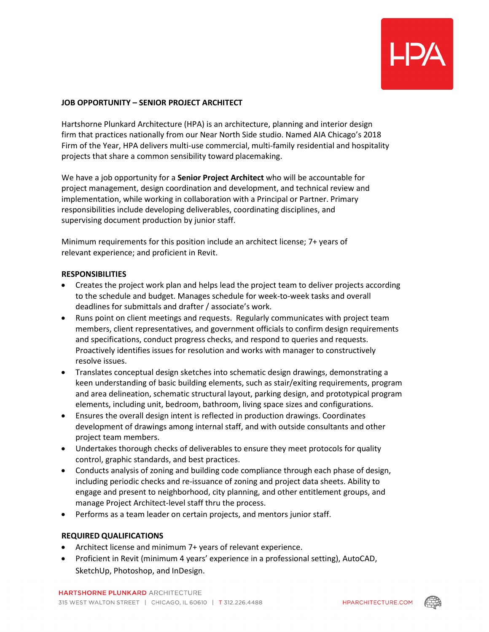

## **JOB OPPORTUNITY – SENIOR PROJECT ARCHITECT**

Hartshorne Plunkard Architecture (HPA) is an architecture, planning and interior design firm that practices nationally from our Near North Side studio. Named AIA Chicago's 2018 Firm of the Year, HPA delivers multi-use commercial, multi-family residential and hospitality projects that share a common sensibility toward placemaking.

We have a job opportunity for a **Senior Project Architect** who will be accountable for project management, design coordination and development, and technical review and implementation, while working in collaboration with a Principal or Partner. Primary responsibilities include developing deliverables, coordinating disciplines, and supervising document production by junior staff.

Minimum requirements for this position include an architect license; 7+ years of relevant experience; and proficient in Revit.

## **RESPONSIBILITIES**

- Creates the project work plan and helps lead the project team to deliver projects according to the schedule and budget. Manages schedule for week-to-week tasks and overall deadlines for submittals and drafter / associate's work.
- Runs point on client meetings and requests. Regularly communicates with project team members, client representatives, and government officials to confirm design requirements and specifications, conduct progress checks, and respond to queries and requests. Proactively identifies issues for resolution and works with manager to constructively resolve issues.
- Translates conceptual design sketches into schematic design drawings, demonstrating a keen understanding of basic building elements, such as stair/exiting requirements, program and area delineation, schematic structural layout, parking design, and prototypical program elements, including unit, bedroom, bathroom, living space sizes and configurations.
- Ensures the overall design intent is reflected in production drawings. Coordinates development of drawings among internal staff, and with outside consultants and other project team members.
- Undertakes thorough checks of deliverables to ensure they meet protocols for quality control, graphic standards, and best practices.
- Conducts analysis of zoning and building code compliance through each phase of design, including periodic checks and re-issuance of zoning and project data sheets. Ability to engage and present to neighborhood, city planning, and other entitlement groups, and manage Project Architect-level staff thru the process.
- Performs as a team leader on certain projects, and mentors junior staff.

## **REQUIRED QUALIFICATIONS**

- Architect license and minimum 7+ years of relevant experience.
- Proficient in Revit (minimum 4 years' experience in a professional setting), AutoCAD, SketchUp, Photoshop, and InDesign.